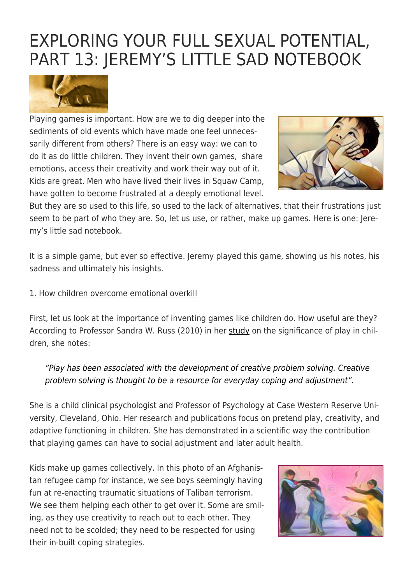# [EXPLORING YOUR FULL SEXUAL POTENTIAL,](https://exgaycalling.com/2018/07/07/exploring-your-full-sexual-potential-part-1324-jeremys-little-sad-notebook/) [PART 13: JEREMY'S LITTLE SAD NOTEBOOK](https://exgaycalling.com/2018/07/07/exploring-your-full-sexual-potential-part-1324-jeremys-little-sad-notebook/)



Playing games is important. How are we to dig deeper into the sediments of old events which have made one feel unnecessarily different from others? There is an easy way: we can to do it as do little children. They invent their own games, share emotions, access their creativity and work their way out of it. Kids are great. Men who have lived their lives in Squaw Camp, have gotten to become frustrated at a deeply emotional level.



But they are so used to this life, so used to the lack of alternatives, that their frustrations just seem to be part of who they are. So, let us use, or rather, make up games. Here is one: Jeremy's little sad notebook.

It is a simple game, but ever so effective. Jeremy played this game, showing us his notes, his sadness and ultimately his insights.

#### 1. How children overcome emotional overkill

First, let us look at the importance of inventing games like children do. How useful are they? According to Professor Sandra W. Russ (2010) in her [study](http://www.tandfonline.com/doi/abs/10.1207/s15374424jccp2704_11) on the significance of play in children, she notes:

"Play has been associated with the development of creative problem solving. Creative problem solving is thought to be a resource for everyday coping and adjustment".

She is a child clinical psychologist and Professor of Psychology at Case Western Reserve University, Cleveland, Ohio. Her research and publications focus on pretend play, creativity, and adaptive functioning in children. She has demonstrated in a scientific way the contribution that playing games can have to social adjustment and later adult health.

Kids make up games collectively. In this photo of an Afghanistan refugee camp for instance, we see boys seemingly having fun at re-enacting traumatic situations of Taliban terrorism. We see them helping each other to get over it. Some are smiling, as they use creativity to reach out to each other. They need not to be scolded; they need to be respected for using their in-built coping strategies.

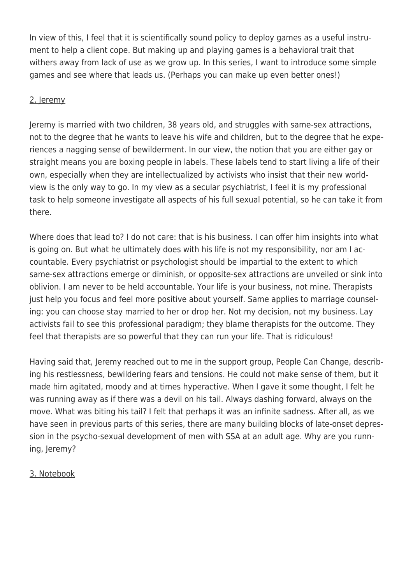In view of this, I feel that it is scientifically sound policy to deploy games as a useful instrument to help a client cope. But making up and playing games is a behavioral trait that withers away from lack of use as we grow up. In this series, I want to introduce some simple games and see where that leads us. (Perhaps you can make up even better ones!)

### 2. Jeremy

Jeremy is married with two children, 38 years old, and struggles with same-sex attractions, not to the degree that he wants to leave his wife and children, but to the degree that he experiences a nagging sense of bewilderment. In our view, the notion that you are either gay or straight means you are boxing people in labels. These labels tend to start living a life of their own, especially when they are intellectualized by activists who insist that their new worldview is the only way to go. In my view as a secular psychiatrist, I feel it is my professional task to help someone investigate all aspects of his full sexual potential, so he can take it from there.

Where does that lead to? I do not care: that is his business. I can offer him insights into what is going on. But what he ultimately does with his life is not my responsibility, nor am I accountable. Every psychiatrist or psychologist should be impartial to the extent to which same-sex attractions emerge or diminish, or opposite-sex attractions are unveiled or sink into oblivion. I am never to be held accountable. Your life is your business, not mine. Therapists just help you focus and feel more positive about yourself. Same applies to marriage counseling: you can choose stay married to her or drop her. Not my decision, not my business. Lay activists fail to see this professional paradigm; they blame therapists for the outcome. They feel that therapists are so powerful that they can run your life. That is ridiculous!

Having said that, Jeremy reached out to me in the support group, People Can Change, describing his restlessness, bewildering fears and tensions. He could not make sense of them, but it made him agitated, moody and at times hyperactive. When I gave it some thought, I felt he was running away as if there was a devil on his tail. Always dashing forward, always on the move. What was biting his tail? I felt that perhaps it was an infinite sadness. After all, as we have seen in previous parts of this series, there are many building blocks of late-onset depression in the psycho-sexual development of men with SSA at an adult age. Why are you running, Jeremy?

#### 3. Notebook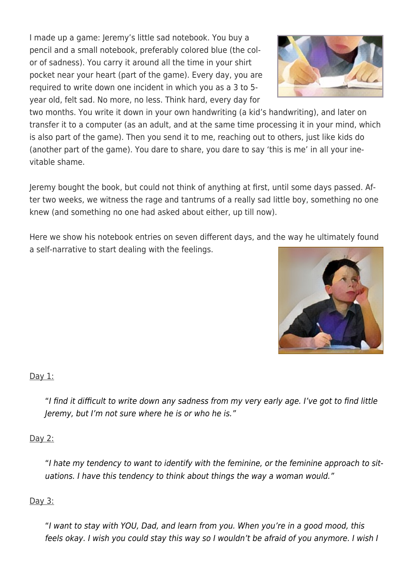I made up a game: Jeremy's little sad notebook. You buy a pencil and a small notebook, preferably colored blue (the color of sadness). You carry it around all the time in your shirt pocket near your heart (part of the game). Every day, you are required to write down one incident in which you as a 3 to 5 year old, felt sad. No more, no less. Think hard, every day for

two months. You write it down in your own handwriting (a kid's handwriting), and later on transfer it to a computer (as an adult, and at the same time processing it in your mind, which is also part of the game). Then you send it to me, reaching out to others, just like kids do (another part of the game). You dare to share, you dare to say 'this is me' in all your inevitable shame.

Jeremy bought the book, but could not think of anything at first, until some days passed. After two weeks, we witness the rage and tantrums of a really sad little boy, something no one knew (and something no one had asked about either, up till now).

Here we show his notebook entries on seven different days, and the way he ultimately found a self-narrative to start dealing with the feelings.

Day 1:

"I find it difficult to write down any sadness from my very early age. I've got to find little Jeremy, but I'm not sure where he is or who he is."

#### Day 2:

"I hate my tendency to want to identify with the feminine, or the feminine approach to situations. I have this tendency to think about things the way a woman would."

## Day 3:

"I want to stay with YOU, Dad, and learn from you. When you're in a good mood, this feels okay. I wish you could stay this way so I wouldn't be afraid of you anymore. I wish I



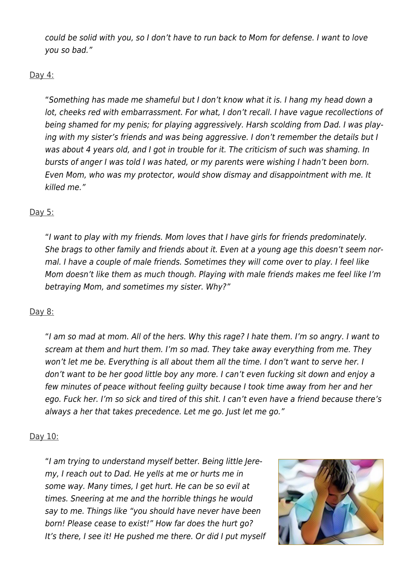could be solid with you, so I don't have to run back to Mom for defense. I want to love you so bad."

### Day 4:

"Something has made me shameful but I don't know what it is. I hang my head down a lot, cheeks red with embarrassment. For what, I don't recall. I have vague recollections of being shamed for my penis; for playing aggressively. Harsh scolding from Dad. I was playing with my sister's friends and was being aggressive. I don't remember the details but I was about 4 years old, and I got in trouble for it. The criticism of such was shaming. In bursts of anger I was told I was hated, or my parents were wishing I hadn't been born. Even Mom, who was my protector, would show dismay and disappointment with me. It killed me."

## Day 5:

"I want to play with my friends. Mom loves that I have girls for friends predominately. She brags to other family and friends about it. Even at a young age this doesn't seem normal. I have a couple of male friends. Sometimes they will come over to play. I feel like Mom doesn't like them as much though. Playing with male friends makes me feel like I'm betraying Mom, and sometimes my sister. Why?"

## Day 8:

"I am so mad at mom. All of the hers. Why this rage? I hate them. I'm so angry. I want to scream at them and hurt them. I'm so mad. They take away everything from me. They won't let me be. Everything is all about them all the time. I don't want to serve her. I don't want to be her good little boy any more. I can't even fucking sit down and enjoy a few minutes of peace without feeling guilty because I took time away from her and her ego. Fuck her. I'm so sick and tired of this shit. I can't even have a friend because there's always a her that takes precedence. Let me go. Just let me go."

## Day 10:

"I am trying to understand myself better. Being little Jeremy, I reach out to Dad. He yells at me or hurts me in some way. Many times, I get hurt. He can be so evil at times. Sneering at me and the horrible things he would say to me. Things like "you should have never have been born! Please cease to exist!" How far does the hurt go? It's there, I see it! He pushed me there. Or did I put myself

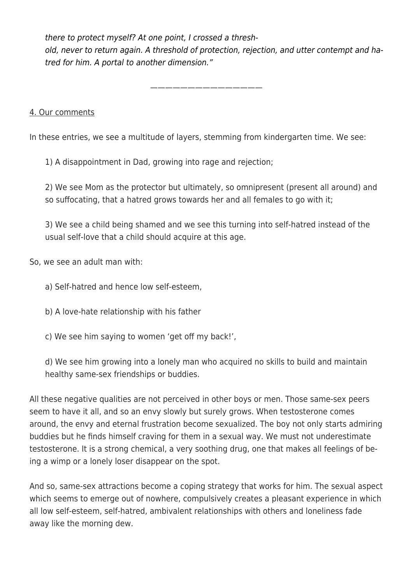there to protect myself? At one point, I crossed a threshold, never to return again. A threshold of protection, rejection, and utter contempt and hatred for him. A portal to another dimension."

———————————————

#### 4. Our comments

In these entries, we see a multitude of layers, stemming from kindergarten time. We see:

1) A disappointment in Dad, growing into rage and rejection;

2) We see Mom as the protector but ultimately, so omnipresent (present all around) and so suffocating, that a hatred grows towards her and all females to go with it;

3) We see a child being shamed and we see this turning into self-hatred instead of the usual self-love that a child should acquire at this age.

So, we see an adult man with:

- a) Self-hatred and hence low self-esteem,
- b) A love-hate relationship with his father
- c) We see him saying to women 'get off my back!',

d) We see him growing into a lonely man who acquired no skills to build and maintain healthy same-sex friendships or buddies.

All these negative qualities are not perceived in other boys or men. Those same-sex peers seem to have it all, and so an envy slowly but surely grows. When testosterone comes around, the envy and eternal frustration become sexualized. The boy not only starts admiring buddies but he finds himself craving for them in a sexual way. We must not underestimate testosterone. It is a strong chemical, a very soothing drug, one that makes all feelings of being a wimp or a lonely loser disappear on the spot.

And so, same-sex attractions become a coping strategy that works for him. The sexual aspect which seems to emerge out of nowhere, compulsively creates a pleasant experience in which all low self-esteem, self-hatred, ambivalent relationships with others and loneliness fade away like the morning dew.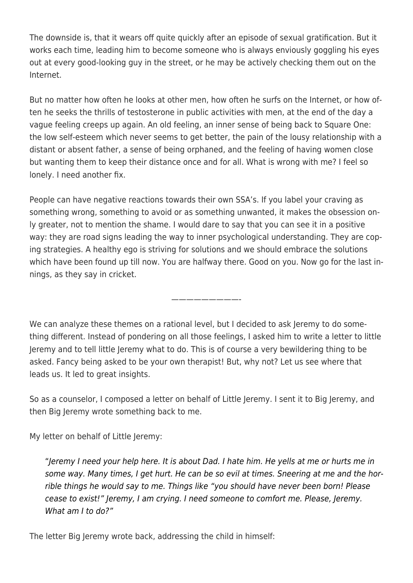The downside is, that it wears off quite quickly after an episode of sexual gratification. But it works each time, leading him to become someone who is always enviously goggling his eyes out at every good-looking guy in the street, or he may be actively checking them out on the Internet.

But no matter how often he looks at other men, how often he surfs on the Internet, or how often he seeks the thrills of testosterone in public activities with men, at the end of the day a vague feeling creeps up again. An old feeling, an inner sense of being back to Square One: the low self-esteem which never seems to get better, the pain of the lousy relationship with a distant or absent father, a sense of being orphaned, and the feeling of having women close but wanting them to keep their distance once and for all. What is wrong with me? I feel so lonely. I need another fix.

People can have negative reactions towards their own SSA's. If you label your craving as something wrong, something to avoid or as something unwanted, it makes the obsession only greater, not to mention the shame. I would dare to say that you can see it in a positive way: they are road signs leading the way to inner psychological understanding. They are coping strategies. A healthy ego is striving for solutions and we should embrace the solutions which have been found up till now. You are halfway there. Good on you. Now go for the last innings, as they say in cricket.

We can analyze these themes on a rational level, but I decided to ask Jeremy to do something different. Instead of pondering on all those feelings, I asked him to write a letter to little Jeremy and to tell little Jeremy what to do. This is of course a very bewildering thing to be asked. Fancy being asked to be your own therapist! But, why not? Let us see where that leads us. It led to great insights.

—————————-

So as a counselor, I composed a letter on behalf of Little Jeremy. I sent it to Big Jeremy, and then Big Jeremy wrote something back to me.

My letter on behalf of Little Jeremy:

"Jeremy I need your help here. It is about Dad. I hate him. He yells at me or hurts me in some way. Many times, I get hurt. He can be so evil at times. Sneering at me and the horrible things he would say to me. Things like "you should have never been born! Please cease to exist!" Jeremy, I am crying. I need someone to comfort me. Please, Jeremy. What am I to do?"

The letter Big Jeremy wrote back, addressing the child in himself: